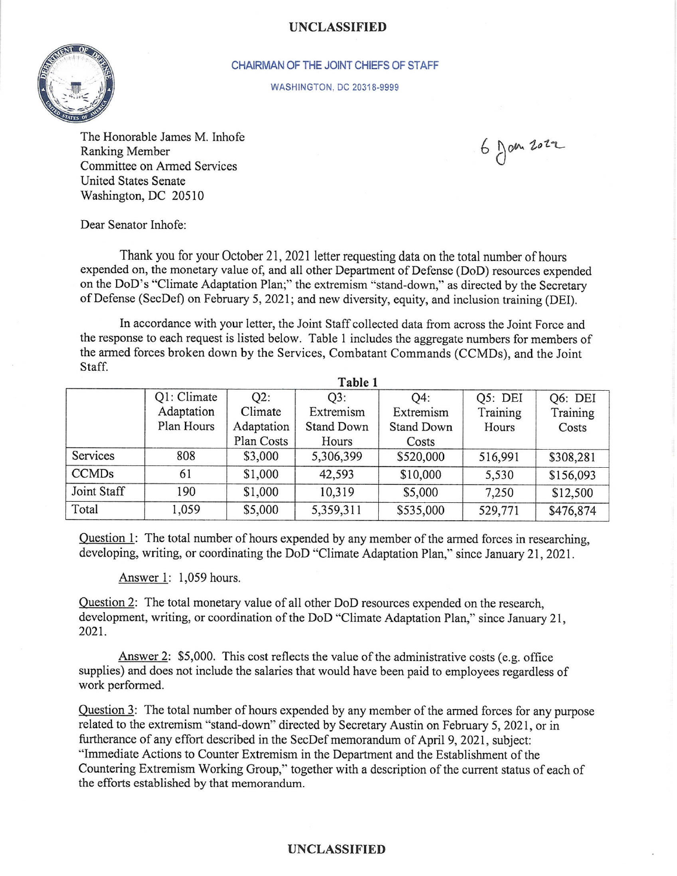## UNCLASSIFIED



## CHAIRMAN OF THE JOINT CHIEFS OF STAFF

WASHINGTON. DC 20318-9999

The Honorable James M. Inhofe Ranking Member Committee on Armed Services United States Senate Washington, DC 20510

 $6$  fan 2022

Dear Senator Inhofe:

Thank you for your October 21, 2021 letter requesting data on the total number of hours expended on, the monetary value of, and all other Department of Defense (DoD) resources expended on the DoD's "Climate Adaptation Plan;" the extremism "stand-down," as directed by the Secretary of Defense (SecDef) on February 5, 2021; and new diversity, equity, and inclusion training (DEI).

In accordance with your letter, the Joint Staff collected data from across the Joint Force and the response to each request is listed below. Table I includes the aggregate numbers for members of the armed forces broken down by the Services, Combatant Commands (CCMDs), and the Joint Staff.

| Table 1      |             |            |                   |                   |          |           |
|--------------|-------------|------------|-------------------|-------------------|----------|-----------|
|              | Q1: Climate | Q2:        | O3:               | O4:               | Q5: DEI  | Q6: DEI   |
|              | Adaptation  | Climate    | Extremism         | Extremism         | Training | Training  |
|              | Plan Hours  | Adaptation | <b>Stand Down</b> | <b>Stand Down</b> | Hours    | Costs     |
|              |             | Plan Costs | Hours             | Costs             |          |           |
| Services     | 808         | \$3,000    | 5,306,399         | \$520,000         | 516,991  | \$308,281 |
| <b>CCMDs</b> | 61          | \$1,000    | 42,593            | \$10,000          | 5,530    | \$156,093 |
| Joint Staff  | 190         | \$1,000    | 10,319            | \$5,000           | 7,250    | \$12,500  |
| Total        | 1,059       | \$5,000    | 5,359,311         | \$535,000         | 529,771  | \$476,874 |

Ouestion 1: The total number of hours expended by any member of the armed forces in researching, developing, writing, or coordinating the DoD "Climate Adaptation Plan," since January 21, 2021.

Answer l: 1,059 hours.

Ouestion 2: The total monetary value of all other DoD resources expended on the research, development, writing, or coordination of the DoD "Climate Adaptation Plan," since January 21, 202t.

Answer 2: \$5,000. This cost reflects the value of the administrative costs (e.g. office supplies) and does not include the salaries that would have been paid to employees regardless of work performed.

Ouestion 3: The total number of hours expended by any member of the armed forces for any purpose related to the extremism "stand-down" directed by Secretary Austin on February 5,202I, or in furtherance of any effort described in the SecDef memorandum of April 9, 2021, subject: "Immediate Actions to Counter Extremism in the Department and the Establishment of the Countering Extremism Working Group," together with a description of the current status of each of the efforts established by that memorandum.

## UNCLASSIFIED